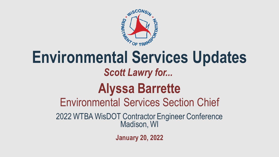

### **Environmental Services Updates** 2022 WTBA WisDOT Contractor Engineer Conference Madison, WI Environmental Services Section Chief *Scott Lawry for...* **Alyssa Barrette**

**January 20, 2022**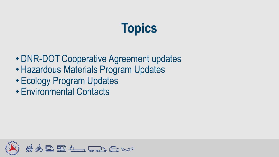## **Topics**

- DNR-DOT Cooperative Agreement updates
- Hazardous Materials Program Updates
- Ecology Program Updates
- Environmental Contacts

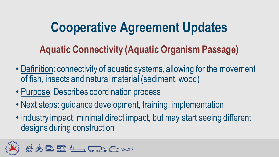#### **Aquatic Connectivity (Aquatic Organism Passage)**

- Definition: connectivity of aquatic systems, allowing for the movement of fish, insects and natural material (sediment, wood)
- Purpose: Describes coordination process
- Next steps: guidance development, training, implementation
- Industry impact: minimal direct impact, but may start seeing different designs during construction

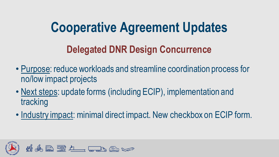#### **Delegated DNR Design Concurrence**

- Purpose: reduce workloads and streamline coordination process for no/low impact projects
- Next steps: update forms (including ECIP), implementation and tracking
- Industry impact: minimal direct impact. New checkbox on ECIP form.

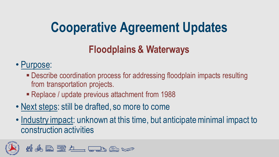### **Floodplains & Waterways**

#### • Purpose:

- Describe coordination process for addressing floodplain impacts resulting from transportation projects.
- Replace / update previous attachment from 1988
- Next steps: still be drafted, so more to come
- Industry impact: unknown at this time, but anticipate minimal impact to construction activities

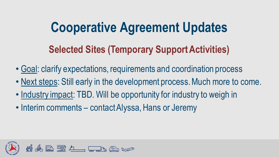#### **Selected Sites (Temporary Support Activities)**

- Goal: clarify expectations, requirements and coordination process
- Next steps: Still early in the development process. Much more to come.
- Industry impact: TBD. Will be opportunity for industry to weigh in
- Interim comments contact Alyssa, Hans or Jeremy

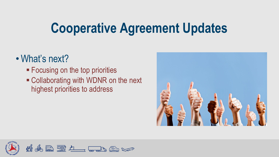#### • What's next?

- **Exercise 5 Focusing on the top priorities**
- Collaborating with WDNR on the next highest priorities to address



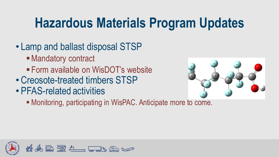### **Hazardous Materials Program Updates**

- Lamp and ballast disposal STSP
	- Mandatory contract
	- **Example 15 Form available on WisDOT's website**
- Creosote-treated timbers STSP
- PFAS-related activities



■ Monitoring, participating in WisPAC. Anticipate more to come.

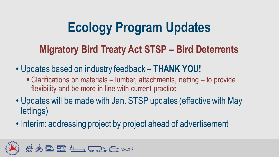### **Ecology Program Updates**

#### **Migratory Bird Treaty Act STSP – Bird Deterrents**

- Updates based on industry feedback **THANK YOU!** 
	- $\blacksquare$  Clarifications on materials lumber, attachments, netting to provide flexibility and be more in line with current practice
- Updates will be made with Jan. STSP updates (effective with May lettings)
- Interim: addressing project by project ahead of advertisement

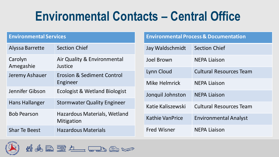### **Environmental Contacts – Central Office**

#### **Environmental Services**

| Alyssa Barrette       | <b>Section Chief</b>                              |
|-----------------------|---------------------------------------------------|
| Carolyn<br>Amegashie  | Air Quality & Environmental<br>Justice            |
| Jeremy Ashauer        | <b>Erosion &amp; Sediment Control</b><br>Engineer |
| Jennifer Gibson       | <b>Ecologist &amp; Wetland Biologist</b>          |
| <b>Hans Hallanger</b> | <b>Stormwater Quality Engineer</b>                |
| <b>Bob Pearson</b>    | Hazardous Materials, Wetland<br>Mitigation        |
| <b>Shar Te Beest</b>  | <b>Hazardous Materials</b>                        |

**Environmental Process & Documentation**

| Jay Waldschmidt        | <b>Section Chief</b>           |
|------------------------|--------------------------------|
| <b>Joel Brown</b>      | <b>NEPA Liaison</b>            |
| Lynn Cloud             | <b>Cultural Resources Team</b> |
| Mike Helmrick          | <b>NEPA Liaison</b>            |
| Jonquil Johnston       | <b>NEPA Liaison</b>            |
| Katie Kaliszewski      | <b>Cultural Resources Team</b> |
| <b>Kathie VanPrice</b> | <b>Environmental Analyst</b>   |
| <b>Fred Wisner</b>     | <b>NEPA Liaison</b>            |



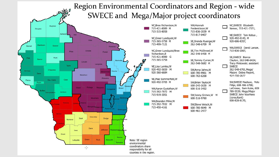